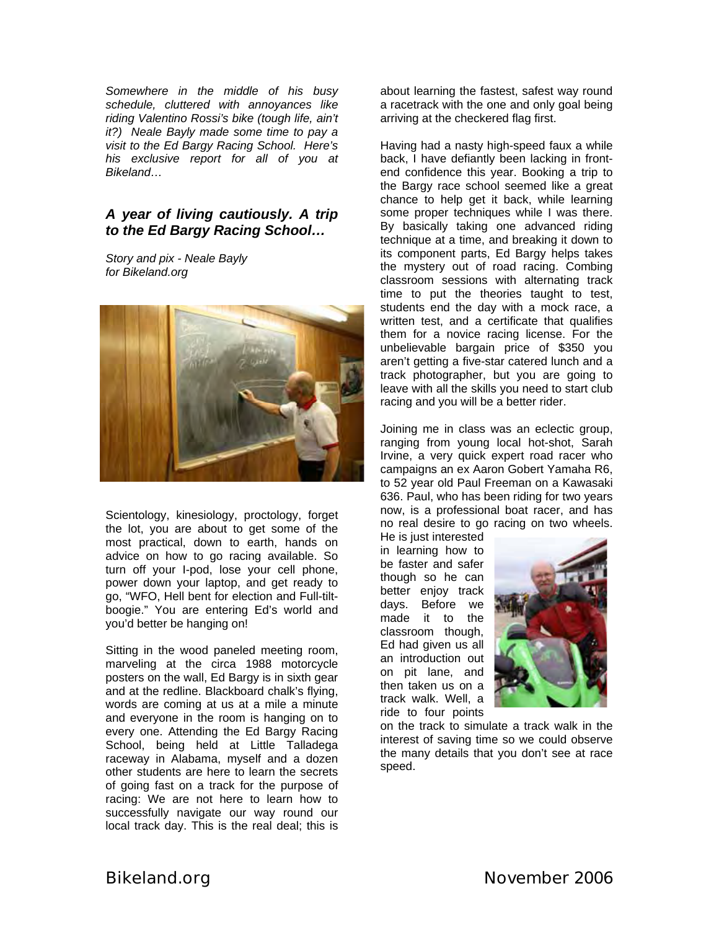*Somewhere in the middle of his busy schedule, cluttered with annoyances like riding Valentino Rossi's bike (tough life, ain't it?) Neale Bayly made some time to pay a visit to the Ed Bargy Racing School. Here's his exclusive report for all of you at Bikeland…* 

## *A year of living cautiously. A trip to the Ed Bargy Racing School…*

*Story and pix - Neale Bayly for Bikeland.org* 



Scientology, kinesiology, proctology, forget the lot, you are about to get some of the most practical, down to earth, hands on advice on how to go racing available. So turn off your I-pod, lose your cell phone, power down your laptop, and get ready to go, "WFO, Hell bent for election and Full-tiltboogie." You are entering Ed's world and you'd better be hanging on!

Sitting in the wood paneled meeting room, marveling at the circa 1988 motorcycle posters on the wall, Ed Bargy is in sixth gear and at the redline. Blackboard chalk's flying, words are coming at us at a mile a minute and everyone in the room is hanging on to every one. Attending the Ed Bargy Racing School, being held at Little Talladega raceway in Alabama, myself and a dozen other students are here to learn the secrets of going fast on a track for the purpose of racing: We are not here to learn how to successfully navigate our way round our local track day. This is the real deal; this is

about learning the fastest, safest way round a racetrack with the one and only goal being arriving at the checkered flag first.

Having had a nasty high-speed faux a while back, I have defiantly been lacking in frontend confidence this year. Booking a trip to the Bargy race school seemed like a great chance to help get it back, while learning some proper techniques while I was there. By basically taking one advanced riding technique at a time, and breaking it down to its component parts, Ed Bargy helps takes the mystery out of road racing. Combing classroom sessions with alternating track time to put the theories taught to test, students end the day with a mock race, a written test, and a certificate that qualifies them for a novice racing license. For the unbelievable bargain price of \$350 you aren't getting a five-star catered lunch and a track photographer, but you are going to leave with all the skills you need to start club racing and you will be a better rider.

Joining me in class was an eclectic group, ranging from young local hot-shot, Sarah Irvine, a very quick expert road racer who campaigns an ex Aaron Gobert Yamaha R6, to 52 year old Paul Freeman on a Kawasaki 636. Paul, who has been riding for two years now, is a professional boat racer, and has no real desire to go racing on two wheels.

He is just interested in learning how to be faster and safer though so he can better enjoy track days. Before we made it to the classroom though, Ed had given us all an introduction out on pit lane, and then taken us on a track walk. Well, a ride to four points



on the track to simulate a track walk in the interest of saving time so we could observe the many details that you don't see at race speed.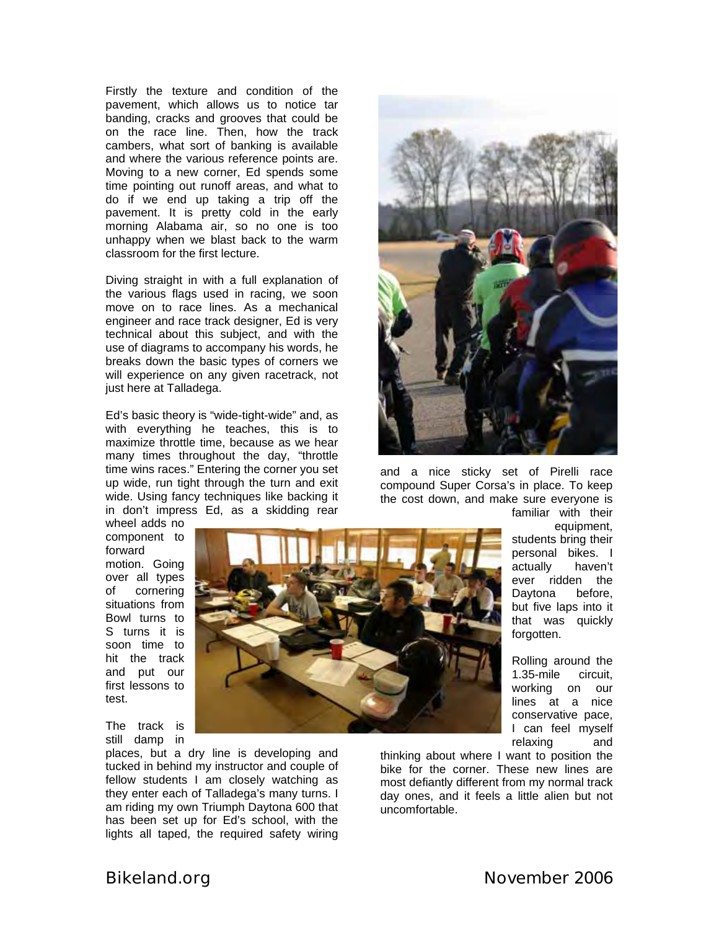Firstly the texture and condition of the pavement, which allows us to notice tar banding, cracks and grooves that could be on the race line. Then, how the track cambers, what sort of banking is available and where the various reference points are. Moving to a new corner, Ed spends some time pointing out runoff areas, and what to do if we end up taking a trip off the pavement. It is pretty cold in the early morning Alabama air, so no one is too unhappy when we blast back to the warm classroom for the first lecture.

Diving straight in with a full explanation of the various flags used in racing, we soon move on to race lines. As a mechanical engineer and race track designer, Ed is very technical about this subject, and with the use of diagrams to accompany his words, he breaks down the basic types of corners we will experience on any given racetrack, not just here at Talladega.

Ed's basic theory is "wide-tight-wide" and, as with everything he teaches, this is to maximize throttle time, because as we hear many times throughout the day, "throttle time wins races." Entering the corner you set up wide, run tight through the turn and exit wide. Using fancy techniques like backing it in don't impress Ed, as a skidding rear

wheel adds no component to forward motion. Going over all types of cornering situations from Bowl turns to S turns it is soon time to hit the track and put our first lessons to test.

The track is still damp in

places, but a dry line is developing and tucked in behind my instructor and couple of fellow students I am closely watching as they enter each of Talladega's many turns. I am riding my own Triumph Daytona 600 that has been set up for Ed's school, with the lights all taped, the required safety wiring



and a nice sticky set of Pirelli race compound Super Corsa's in place. To keep the cost down, and make sure everyone is familiar with their

equipment, students bring their personal bikes. I actually haven't ever ridden the Daytona before, but five laps into it that was quickly forgotten.

Rolling around the 1.35-mile circuit, working on our lines at a nice conservative pace, I can feel myself relaxing and

thinking about where I want to position the bike for the corner. These new lines are most defiantly different from my normal track day ones, and it feels a little alien but not uncomfortable.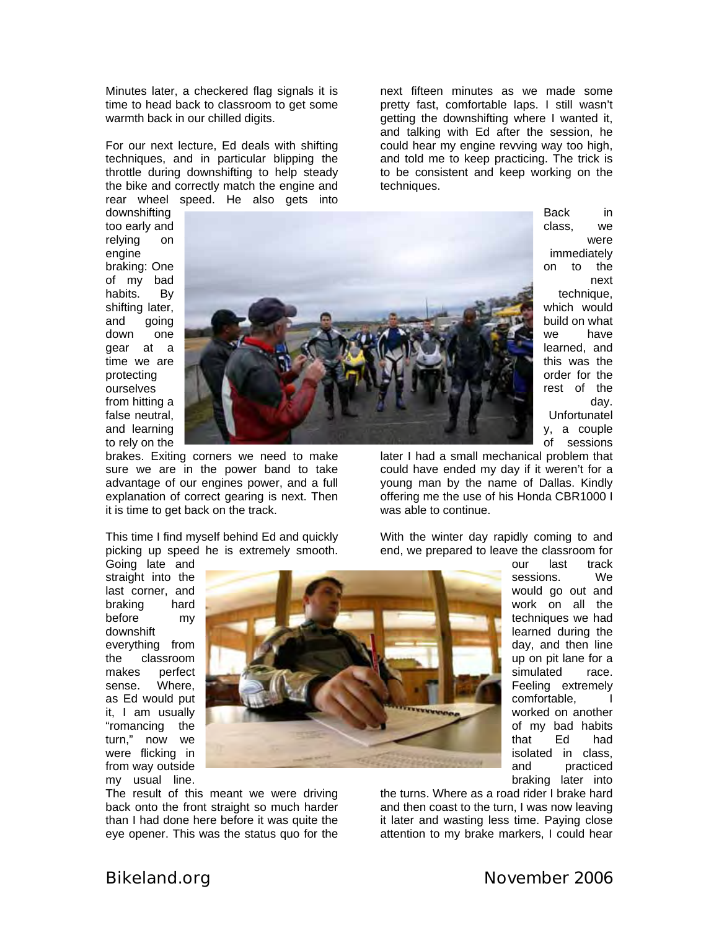Minutes later, a checkered flag signals it is time to head back to classroom to get some warmth back in our chilled digits.

For our next lecture, Ed deals with shifting techniques, and in particular blipping the throttle during downshifting to help steady the bike and correctly match the engine and rear wheel speed. He also gets into

next fifteen minutes as we made some pretty fast, comfortable laps. I still wasn't getting the downshifting where I wanted it, and talking with Ed after the session, he could hear my engine revving way too high, and told me to keep practicing. The trick is to be consistent and keep working on the techniques.

downshifting too early and relying on engine braking: O ne of my bad habits. By shifting later, and going down one gear at a time we are prote cting ourselves from hitting a false neutral, and learning to rely on the



brakes. Exiting corners we need to make sure we are in the power band to take advantage of our engines power, and a full explanation of correct gearing is next. Then it is time to get back on the track.

This time I find myself behind Ed and quickly picking up speed he is extremely smooth.

immed iately on to the techni que, wh ich would this wa s the y, a co uple Back in class, we were next build on what we have learned, and order for the rest of the day. Unfortunatel

o f sessions

our last track sessions. We would go out and work on all the techniques we had learned during the day, and then line up on pit lane for a simulated race. Feeling extremely comfortable, I worked on another of my bad habits that Ed had isolated in class, and practiced

later I had a small mechanical problem that could have ended my day if it weren't for a young man by the name of Dallas. Kindly offering me the use of his Honda CBR1000 I was able to continue.

With the winter day rapidly coming to and end, we prepared to leave the classroom for

everything from Going late and straight into the last corner, and braking hard before my downshift the classroom makes perfect sense. Where, as Ed would put it, I am usually "romancing the turn," now we were flicking in from way outside my usual line.



The result of this meant we were driving back onto the front straight so much harder than I had done here before it was quite the eye opener. This was the status quo for the

the turns. Where as a roa d rider I brake hard braking later into and then coast to the turn, I was now leaving it later and wasting less time. Paying close attention to my brake markers, I could hear